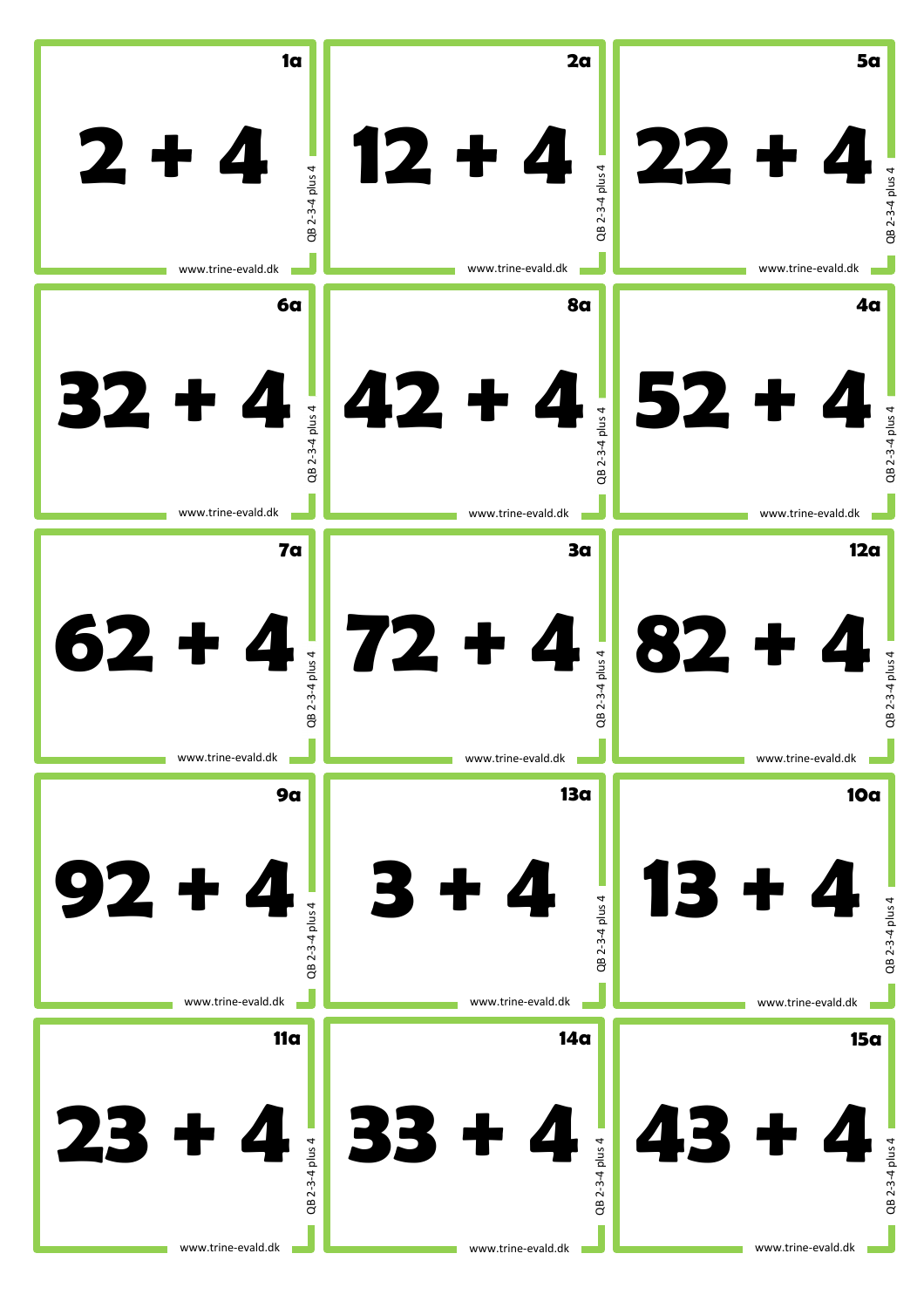